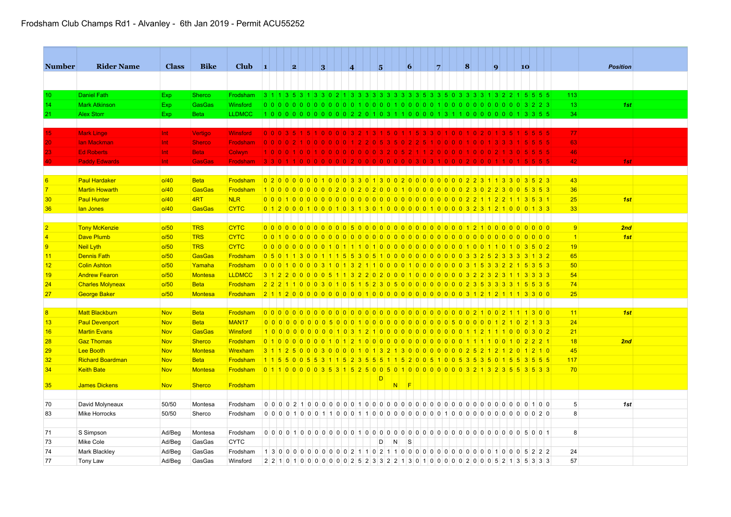## Frodsham Club Champs Rd1 - Alvanley - 6th Jan 2019 - Permit ACU55252

| <b>Number</b>   | <b>Rider Name</b>       | <b>Class</b> | <b>Bike</b>    | <b>Club</b>       | $\blacksquare$  | 2 |                 | 3 |      | $\vert$ 4 | $\overline{\mathbf{5}}$ |   | $\vert 6 \vert$ |                                                                                   | 7 |  | $\vert 8 \vert$ | $\vert \mathbf{q} \vert$ | 10 |                          |       |                 | <b>Position</b> |  |
|-----------------|-------------------------|--------------|----------------|-------------------|-----------------|---|-----------------|---|------|-----------|-------------------------|---|-----------------|-----------------------------------------------------------------------------------|---|--|-----------------|--------------------------|----|--------------------------|-------|-----------------|-----------------|--|
|                 |                         |              |                |                   |                 |   |                 |   |      |           |                         |   |                 |                                                                                   |   |  |                 |                          |    |                          |       |                 |                 |  |
| 10 <sup>°</sup> | <b>Daniel Fath</b>      | <b>Exp</b>   | <b>Sherco</b>  | Frodsham          |                 |   |                 |   |      |           |                         |   |                 | 3 1 1 3 5 3 1 3 3 0 2 1 3 3 3 3 3 3 3 3 3 5 6 7 8 9 3 3 4 5 6 7 8 6 6 7 8 9 40    |   |  |                 |                          |    |                          |       | 113             |                 |  |
| 14              | <b>Mark Atkinson</b>    | Exp          | <b>GasGas</b>  | Winsford          |                 |   |                 |   |      |           |                         |   |                 |                                                                                   |   |  |                 |                          |    |                          |       | 13              | 1st             |  |
| 21              | <b>Alex Storr</b>       | <b>Exp</b>   | <b>Beta</b>    | <b>LLDMCC</b>     |                 |   |                 |   |      |           |                         |   |                 |                                                                                   |   |  |                 |                          |    |                          |       | 34              |                 |  |
|                 |                         |              |                |                   |                 |   |                 |   |      |           |                         |   |                 |                                                                                   |   |  |                 |                          |    |                          |       |                 |                 |  |
| 15              | <b>Mark Linge</b>       | Int.         | Vertigo        | <b>Winsford</b>   |                 |   |                 |   |      |           |                         |   |                 | 0 0 0 3 5 1 5 1 0 0 0 0 3 2 1 3 1 5 0 1 1 5 3 3 0 1 0 0 1 0 2 0                   |   |  |                 |                          |    |                          | 5 5 5 | 77              |                 |  |
| 20 <sub>1</sub> | <b>lan Mackman</b>      | Int          | <b>Sherco</b>  | <b>Frodsham</b>   | 0 <sup>10</sup> |   |                 |   |      |           |                         |   |                 |                                                                                   |   |  |                 |                          |    |                          |       | 63              |                 |  |
| 23              | <b>Ed Roberts</b>       | Int          | <b>Beta</b>    | Colwyn            |                 |   |                 |   |      |           |                         |   |                 |                                                                                   |   |  |                 |                          |    |                          |       | 46              |                 |  |
|                 | <b>Paddy Edwards</b>    | Int          | <b>GasGas</b>  | <b>Frodsham</b>   | 3 3             |   |                 |   |      |           |                         |   |                 |                                                                                   |   |  |                 |                          |    |                          | 5 5   | 42              | 1st             |  |
|                 |                         |              |                |                   |                 |   |                 |   |      |           |                         |   |                 |                                                                                   |   |  |                 |                          |    |                          |       |                 |                 |  |
| 6               | <b>Paul Hardaker</b>    | o/40         | <b>Beta</b>    | Frodsham          |                 |   |                 |   |      |           |                         |   |                 | 02000000010003301300200000000023113303523                                         |   |  |                 |                          |    |                          |       | 43              |                 |  |
| $\overline{7}$  | <b>Martin Howarth</b>   | 0/40         | <b>GasGas</b>  | Frodsham          |                 |   |                 |   |      |           |                         |   |                 | 10000000000020020200010000000002302300                                            |   |  |                 |                          |    | 5353                     |       | 36              |                 |  |
| 30              | <b>Paul Hunter</b>      | 0/40         | 4RT            | <b>NLR</b>        |                 |   |                 |   |      |           |                         |   |                 |                                                                                   |   |  |                 |                          |    |                          |       | 25              | 1st             |  |
| 36              | lan Jones               | 0/40         | <b>GasGas</b>  | <b>CYTC</b>       |                 |   |                 |   |      |           |                         |   |                 |                                                                                   |   |  |                 |                          |    |                          |       | 33              |                 |  |
|                 |                         |              |                |                   |                 |   |                 |   |      |           |                         |   |                 |                                                                                   |   |  |                 |                          |    |                          |       |                 |                 |  |
| $\overline{2}$  | <b>Tony McKenzie</b>    | 0/50         | <b>TRS</b>     | <b>CYTC</b>       |                 |   |                 |   |      |           |                         |   |                 |                                                                                   |   |  |                 |                          |    |                          |       | 9               | 2nd             |  |
|                 | <b>Dave Plumb</b>       | o/50         | <b>TRS</b>     | <b>CYTC</b>       |                 |   |                 |   |      |           |                         |   |                 |                                                                                   |   |  |                 |                          |    |                          |       | $\vert$ 1       | 1st             |  |
| $\overline{9}$  | Neil Lyth               | o/50         | <b>TRS</b>     | <b>CYTC</b>       |                 |   |                 |   |      |           |                         |   |                 | 000000000010111101000000000000010011010                                           |   |  |                 |                          |    | 3502                     |       | 19              |                 |  |
| 11              | <b>Dennis Fath</b>      | o/50         | <b>GasGas</b>  | Frodsham          |                 |   |                 |   |      |           |                         |   |                 | 0 5 0 1 1 3 0 0 1 1 1 5 5 3 0 5 1 0 0 0 0 0 0 0 0 0 0 0 0 3 3 2 5 2 3 3 3 4 3 2   |   |  |                 |                          |    |                          |       | 65              |                 |  |
| 12              | <b>Colin Ashton</b>     | o/50         | Yamaha         | Frodsham          |                 |   |                 |   |      |           |                         |   |                 | 0 0 0 1 0 0 0 0 3 1 0 1 3 2 1 1 0 0 0 0 1 0 0 0 0 0 0 0 0 3 1 5 3 3 2 2 1 5 3 5 3 |   |  |                 |                          |    |                          |       | 50              |                 |  |
| 19              | <b>Andrew Fearon</b>    | o/50         | Montesa        | <b>LLDMCC</b>     |                 |   |                 |   |      |           |                         |   |                 | 3 1 2 2 0 0 0 0 0 5 1 1 3 2 2 0 2 0 0 0 1 0 0 0 0 0 0 0 0 3 2 2 3 2 3 1 1 3 3 3 3 |   |  |                 |                          |    |                          |       | 54              |                 |  |
| 24              | <b>Charles Molyneax</b> | o/50         | <b>Beta</b>    | Frodsham          |                 |   |                 |   |      |           |                         |   |                 | 2 2 2 1 1 0 0 0 3 0 1 0 5 1 5 2 3 0 5 0 0 0 0 0 0 0 0 0 0 2 3 5 3 3 3 3 4 5 5 3 5 |   |  |                 |                          |    |                          |       | 74              |                 |  |
| 27              | <b>George Baker</b>     | o/50         | <b>Montesa</b> | Frodsham          |                 |   |                 |   |      |           |                         |   |                 | 21120000000000100000000000000012121113300                                         |   |  |                 |                          |    |                          |       | 25              |                 |  |
|                 |                         |              |                |                   |                 |   |                 |   |      |           |                         |   |                 |                                                                                   |   |  |                 |                          |    |                          |       |                 |                 |  |
| 8               | <b>Matt Blackburn</b>   | <b>Nov</b>   | <b>Beta</b>    | Frodsham          |                 |   |                 |   |      |           |                         |   |                 |                                                                                   |   |  |                 |                          |    |                          |       | 11              | 1st             |  |
| 13              | <b>Paul Devenport</b>   | <b>Nov</b>   | <b>Beta</b>    | MAN <sub>17</sub> |                 |   |                 |   |      |           |                         |   |                 |                                                                                   |   |  |                 |                          |    | $2 \mid 1 \mid 3 \mid 3$ |       | 24              |                 |  |
| 16              | <b>Martin Evans</b>     | <b>Nov</b>   | <b>GasGas</b>  | Winsford          |                 |   |                 |   |      |           |                         |   |                 | 1000000000103121000000000000011211100                                             |   |  |                 |                          |    | 0302                     |       | 21              |                 |  |
| 28              | <b>Gaz Thomas</b>       | <b>Nov</b>   | <b>Sherco</b>  | Frodsham          |                 |   |                 |   |      |           |                         |   |                 | 0100000010121000000000000000011100102221                                          |   |  |                 |                          |    |                          |       | 18              | 2nd             |  |
| 29              | Lee Booth               | <b>Nov</b>   | <b>Montesa</b> | Wrexham           |                 |   |                 |   |      |           |                         |   |                 | 3 1 1 2 5 0 0 0 3 0 0 0 0 1 0 1 3 2 1 3 0 0 0 0 0 0 0 0 2 5 2 1 2                 |   |  |                 |                          |    | 1210                     |       | 45              |                 |  |
| 32              | <b>Richard Boardman</b> | <b>Nov</b>   | <b>Beta</b>    | Frodsham          |                 |   | 1 1 5 5 0 0 5 5 |   | 3115 |           |                         |   |                 | 2355115200510053535015                                                            |   |  |                 |                          |    | $5 \ 3 \ 5 \ 5$          |       | 117             |                 |  |
| 34              | <b>Keith Bate</b>       | <b>Nov</b>   | <b>Montesa</b> | Frodsham          |                 |   |                 |   |      |           |                         |   |                 | 0 1 1 0 0 0 0 0 3 5 3 1 5 2 5 0 0 5 0 1 0 0 0 0 0 0 0 0 3 2 1 3 2 3 5 5 3 5 3 3   |   |  |                 |                          |    |                          |       | 70              |                 |  |
|                 |                         |              |                |                   |                 |   |                 |   |      |           | D                       |   |                 |                                                                                   |   |  |                 |                          |    |                          |       |                 |                 |  |
| 35 <sub>5</sub> | <b>James Dickens</b>    | <b>Nov</b>   | <b>Sherco</b>  | Frodsham          |                 |   |                 |   |      |           |                         |   | $N$ F           |                                                                                   |   |  |                 |                          |    |                          |       |                 |                 |  |
|                 |                         |              |                |                   |                 |   |                 |   |      |           |                         |   |                 |                                                                                   |   |  |                 |                          |    |                          |       |                 |                 |  |
| 70              | David Molyneaux         | 50/50        | Montesa        | Frodsham          |                 |   |                 |   |      |           |                         |   |                 |                                                                                   |   |  |                 |                          |    | 0100                     |       | $5\overline{)}$ | 1st             |  |
| 83              | Mike Horrocks           | 50/50        | Sherco         | Frodsham          |                 |   |                 |   |      |           |                         |   |                 |                                                                                   |   |  |                 |                          |    |                          |       | 8               |                 |  |
|                 |                         |              |                |                   |                 |   |                 |   |      |           |                         |   |                 |                                                                                   |   |  |                 |                          |    |                          |       |                 |                 |  |
| 71              | S Simpson               | Ad/Beg       | Montesa        | Frodsham          |                 |   |                 |   |      |           |                         |   |                 |                                                                                   |   |  |                 |                          |    |                          |       | 8               |                 |  |
| 73              | Mike Cole               | Ad/Beg       | GasGas         | <b>CYTC</b>       |                 |   |                 |   |      |           | D                       | N | S               |                                                                                   |   |  |                 |                          |    |                          |       |                 |                 |  |
| 74              | Mark Blackley           | Ad/Beg       | GasGas         | Frodsham          |                 |   |                 |   |      |           |                         |   |                 |                                                                                   |   |  |                 |                          |    |                          |       | 24              |                 |  |
| 77              | Tony Law                | Ad/Beg       | GasGas         | Winsford          |                 |   |                 |   |      |           |                         |   |                 | 2 2 1 0 1 0 0 0 0 0 0 0 0 2 5 2 3 3 2 2 1 3 0 1 0 0 0 0 0 2 0 0 0 5 2 1 3 5 3 3 3 |   |  |                 |                          |    |                          |       | 57              |                 |  |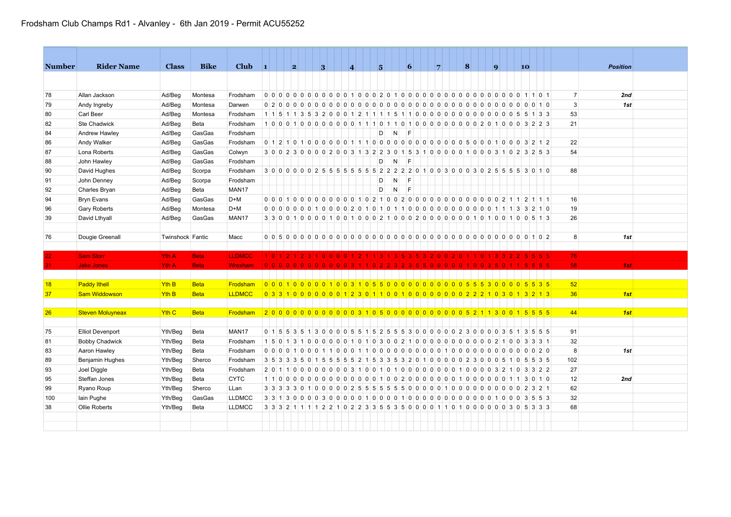| <b>Number</b> | <b>Rider Name</b>       | <b>Class</b>     | <b>Bike</b> | <b>Club</b>       | $\blacksquare$ | 2 |  | 3 |                   | $\vert$ <b>4</b> |  | 15. |                                                                                       | $\vert 6 \vert$ |  | 7              |   | $\vert 8 \vert$ |   |                                            | $\vert \mathbf{q} \vert$ |     | 10 <sub>1</sub> |           |  |                | <b>Position</b> |     |  |
|---------------|-------------------------|------------------|-------------|-------------------|----------------|---|--|---|-------------------|------------------|--|-----|---------------------------------------------------------------------------------------|-----------------|--|----------------|---|-----------------|---|--------------------------------------------|--------------------------|-----|-----------------|-----------|--|----------------|-----------------|-----|--|
|               |                         |                  |             |                   |                |   |  |   |                   |                  |  |     |                                                                                       |                 |  |                |   |                 |   |                                            |                          |     |                 |           |  |                |                 |     |  |
|               |                         |                  |             |                   |                |   |  |   |                   |                  |  |     |                                                                                       |                 |  |                |   |                 |   |                                            |                          |     |                 |           |  |                |                 |     |  |
| 78            | Allan Jackson           | Ad/Beg           | Montesa     | Frodsham          |                |   |  |   |                   |                  |  |     |                                                                                       |                 |  |                |   |                 |   |                                            |                          |     |                 |           |  | $\overline{7}$ |                 | 2nd |  |
| 79            | Andy Ingreby            | Ad/Beg           | Montesa     | Darwen            |                |   |  |   |                   |                  |  |     |                                                                                       |                 |  |                |   |                 |   |                                            |                          |     |                 |           |  | 3              |                 | 1st |  |
| 80            | Carl Beer               | Ad/Beg           | Montesa     | Frodsham          |                |   |  |   |                   |                  |  |     |                                                                                       |                 |  |                |   |                 |   |                                            |                          |     |                 | 5 1 3 3   |  | 53             |                 |     |  |
| 82            | Ste Chadwick            | Ad/Beg           | Beta        | Frodsham          |                |   |  |   | 10001000000000110 |                  |  |     | 11010000000002010003223                                                               |                 |  |                |   |                 |   |                                            |                          |     |                 |           |  | 21             |                 |     |  |
| 84            | Andrew Hawley           | Ad/Beg           | GasGas      | Frodsham          |                |   |  |   |                   |                  |  | D   | N                                                                                     | E               |  |                |   |                 |   |                                            |                          |     |                 |           |  |                |                 |     |  |
| 86            | Andy Walker             | Ad/Beg           | GasGas      | Frodsham          |                |   |  |   |                   |                  |  |     |                                                                                       |                 |  |                |   |                 |   |                                            |                          |     |                 |           |  | 22             |                 |     |  |
| 87            | Lona Roberts            | Ad/Beg           | GasGas      | Colwyn            |                |   |  |   |                   |                  |  |     | 3 0 0 2 3 0 0 0 0 2 0 0 3 1 3 2 2 3 0 1 5 3 1 0 0 0 0 0 1 0 0 0 3 1 0 2 3 2 5 3       |                 |  |                |   |                 |   |                                            |                          |     |                 |           |  | 54             |                 |     |  |
| 88            | John Hawley             | Ad/Beg           | GasGas      | Frodsham          |                |   |  |   |                   |                  |  | D   | N                                                                                     | IF.             |  |                |   |                 |   |                                            |                          |     |                 |           |  |                |                 |     |  |
| 90            | David Hughes            | Ad/Beg           | Scorpa      | Frodsham          |                |   |  |   |                   |                  |  |     | 3 0 0 0 0 0 0 2 5 5 5 5 5 5 5 5 6 7 2 2 2 2 0 1 0 0 3 0 0 0 3 0 2 5 5 5 5 6 7 8 0 1 0 |                 |  |                |   |                 |   |                                            |                          |     |                 |           |  | 88             |                 |     |  |
| 91            | John Denney             | Ad/Beg           | Scorpa      | Frodsham          |                |   |  |   |                   |                  |  | D   | N.                                                                                    | IF.             |  |                |   |                 |   |                                            |                          |     |                 |           |  |                |                 |     |  |
| 92            | Charles Bryan           | Ad/Beg           | Beta        | MAN17             |                |   |  |   |                   |                  |  | D   | $\mathsf{N}$                                                                          | F               |  |                |   |                 |   |                                            |                          |     |                 |           |  |                |                 |     |  |
| 94            | <b>Bryn Evans</b>       | Ad/Beg           | GasGas      | $D+M$             |                |   |  |   |                   |                  |  |     |                                                                                       |                 |  |                |   |                 |   |                                            |                          |     |                 |           |  | 16             |                 |     |  |
| 96            | <b>Gary Roberts</b>     | Ad/Beg           | Montesa     | $D+M$             |                |   |  |   |                   |                  |  |     |                                                                                       |                 |  |                |   |                 |   |                                            |                          |     |                 |           |  | 19             |                 |     |  |
| 39            | David Lthyall           | Ad/Beg           | GasGas      | MAN <sub>17</sub> |                |   |  |   |                   |                  |  |     |                                                                                       |                 |  |                |   |                 |   |                                            |                          |     |                 |           |  | 26             |                 |     |  |
|               |                         |                  |             |                   |                |   |  |   |                   |                  |  |     |                                                                                       |                 |  |                |   |                 |   |                                            |                          |     |                 |           |  |                |                 |     |  |
| 76            | Dougie Greenall         | Twinshock Fantic |             | Macc              |                |   |  |   |                   |                  |  |     |                                                                                       |                 |  |                |   |                 |   |                                            |                          |     |                 |           |  | 8              |                 | 1st |  |
|               |                         |                  |             |                   |                |   |  |   |                   |                  |  |     |                                                                                       |                 |  |                |   |                 |   |                                            |                          |     |                 |           |  |                |                 |     |  |
| 22            | <b>Sam Storr</b>        | Yth A            | <b>Beta</b> | <b>LLDMCC</b>     |                |   |  |   |                   |                  |  |     | 1012123100011211313535320020                                                          |                 |  |                |   |                 |   |                                            |                          |     |                 |           |  | 76             |                 |     |  |
| 31            | <b>Jake Jones</b>       | Yth A            | <b>Beta</b> | Wrexham           |                |   |  |   |                   |                  |  |     | 0 0 0 0 0 0 0 0 0 0 0 0 3 1 1 0 2 2 3 2 3 5 5 0 0 0 0 0 1 0 0 3 5 0                   |                 |  |                |   |                 |   |                                            |                          |     |                 | 5 5 5     |  | 58             |                 | 1st |  |
|               |                         |                  |             |                   |                |   |  |   |                   |                  |  |     |                                                                                       |                 |  |                |   |                 |   |                                            |                          |     |                 |           |  |                |                 |     |  |
| 18            | <b>Paddy Ithell</b>     | <b>Yth B</b>     | <b>Beta</b> | Frodsham          |                |   |  |   |                   |                  |  |     | 00010000010031055000000000005553000005553                                             |                 |  |                |   |                 |   |                                            |                          |     |                 |           |  | 52             |                 |     |  |
| 37            | <b>Sam Widdowson</b>    | Yth <sub>B</sub> | <b>Beta</b> | <b>LLDMCC</b>     |                |   |  |   |                   |                  |  |     | 0 3 3 1 0 0 0 0 0 0 0 1 2 3 0 1 1 0 0 1 0 0 0 0 0 0 0 0 2 2 2 1 0 3 0 1 3 2 1 3       |                 |  |                |   |                 |   |                                            |                          |     |                 |           |  | 36             |                 | 1st |  |
|               |                         |                  |             |                   |                |   |  |   |                   |                  |  |     |                                                                                       |                 |  |                |   |                 |   |                                            |                          |     |                 |           |  |                |                 |     |  |
| 26            | <b>Steven Moluyneax</b> | Yth <sub>C</sub> | <b>Beta</b> | Frodsham          |                |   |  |   |                   |                  |  |     | 200000000000000003105000000000000521130015555                                         |                 |  |                |   |                 |   |                                            |                          |     |                 |           |  | 44             |                 | 1st |  |
|               |                         |                  |             |                   |                |   |  |   |                   |                  |  |     |                                                                                       |                 |  |                |   |                 |   |                                            |                          |     |                 |           |  |                |                 |     |  |
| 75            | <b>Elliot Devenport</b> | Yth/Beg          | Beta        | MAN17             |                |   |  |   |                   |                  |  |     | 0 1 5 5 3 5 1 3 0 0 0 0 5 5 1 5 2 5 5 5 3 0 0 0 0 0 0 2 3 0 0 0 0 3 5 1 3 5 5 5       |                 |  |                |   |                 |   |                                            |                          |     |                 |           |  | 91             |                 |     |  |
| 81            | <b>Bobby Chadwick</b>   | Yth/Beg          | Beta        | Frodsham          | 1 5 0 1 3      |   |  |   |                   |                  |  |     | 10000001010300210000000000                                                            |                 |  |                |   |                 |   | 0 <sub>0</sub>                             |                          |     | 2 1 0 0 3 33 1  |           |  | 32             |                 |     |  |
| 83            | Aaron Hawley            | Yth/Beg          | Beta        | Frodsham          |                |   |  |   |                   |                  |  |     | 00001000110001100000000000100000000000                                                |                 |  |                |   |                 |   |                                            |                          |     |                 | $0 0 2 0$ |  | 8              |                 | 1st |  |
| 89            | Benjamin Hughes         | Yth/Beg          | Sherco      | Frodsham          |                |   |  |   |                   |                  |  |     | 3 5 3 3 3 5 0 1 5 5 5 5 5 2 1 5 3 3 5 3 2 0 1 0                                       |                 |  | 0 <sub>0</sub> | 0 | 0 <sub>2</sub>  | 3 | $\begin{array}{c c} 0 & 0 & 0 \end{array}$ |                          | 510 |                 | 5 5 3 5   |  | 102            |                 |     |  |
| 93            | Joel Diggle             | Yth/Beg          | Beta        | Frodsham          |                |   |  |   |                   |                  |  |     |                                                                                       |                 |  |                |   |                 |   |                                            |                          |     |                 |           |  | 27             |                 |     |  |
| 95            | Steffan Jones           | Yth/Beg          | Beta        | <b>CYTC</b>       |                |   |  |   |                   |                  |  |     |                                                                                       |                 |  |                |   |                 |   |                                            |                          |     |                 |           |  | 12             |                 | 2nd |  |
| 99            | Ryano Roup              | Yth/Beg          | Sherco      | LLan              |                |   |  |   |                   |                  |  |     | 3 3 3 3 3 0 1 0 0 0 0 0 2 5 5 5 5 5 5 6 0 0 0 0 0 1 0 0 0 0 0 0 0 0 0 0 2 3 2 1       |                 |  |                |   |                 |   |                                            |                          |     |                 |           |  | 62             |                 |     |  |
| 100           | lain Pughe              | Yth/Beg          | GasGas      | <b>LLDMCC</b>     |                |   |  |   |                   |                  |  |     |                                                                                       |                 |  |                |   |                 |   |                                            |                          |     |                 |           |  | 32             |                 |     |  |
| 38            | Ollie Roberts           | Yth/Beg          | Beta        | <b>LLDMCC</b>     |                |   |  |   |                   |                  |  |     | 3 3 3 2 1 1 1 1 2 2 1 0 2 2 3 3 5 5 3 5 0 0 0 0 1 1 0 1 0 0 0 0 0 0 3 0 5 3 3 3       |                 |  |                |   |                 |   |                                            |                          |     |                 |           |  | 68             |                 |     |  |
|               |                         |                  |             |                   |                |   |  |   |                   |                  |  |     |                                                                                       |                 |  |                |   |                 |   |                                            |                          |     |                 |           |  |                |                 |     |  |
|               |                         |                  |             |                   |                |   |  |   |                   |                  |  |     |                                                                                       |                 |  |                |   |                 |   |                                            |                          |     |                 |           |  |                |                 |     |  |
|               |                         |                  |             |                   |                |   |  |   |                   |                  |  |     |                                                                                       |                 |  |                |   |                 |   |                                            |                          |     |                 |           |  |                |                 |     |  |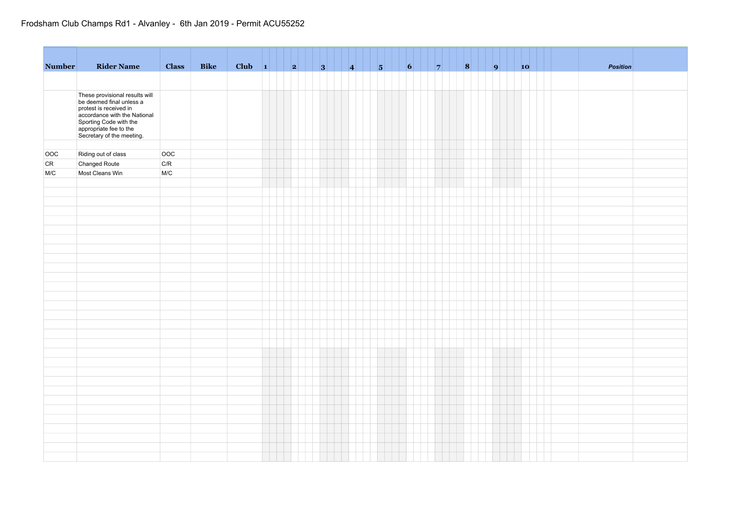## Frodsham Club Champs Rd1 - Alvanley - 6th Jan 2019 - Permit ACU55252

| <b>Number</b> | <b>Rider Name</b>                                                             | <b>Class</b> | Bike | Club $\vert 1 \vert$ | an an | $\vert 2 \vert$ | 3 | $\vert$ 4 | $\vert 5 \vert$ | $\vert 6 \vert$<br>чH. | $\vert \vert$ $\vert$ 7 | 8 | 9 | 10 | Position |  |
|---------------|-------------------------------------------------------------------------------|--------------|------|----------------------|-------|-----------------|---|-----------|-----------------|------------------------|-------------------------|---|---|----|----------|--|
|               |                                                                               |              |      |                      |       |                 |   |           |                 |                        |                         |   |   |    |          |  |
|               |                                                                               |              |      |                      |       |                 |   |           |                 |                        |                         |   |   |    |          |  |
|               | These provisional results will<br>be deemed final unless a                    |              |      |                      |       |                 |   |           |                 |                        |                         |   |   |    |          |  |
|               | protest is received in<br>accordance with the National                        |              |      |                      |       |                 |   |           |                 |                        |                         |   |   |    |          |  |
|               |                                                                               |              |      |                      |       |                 |   |           |                 |                        |                         |   |   |    |          |  |
|               | Sporting Code with the<br>Sporting Code with the<br>Secretary of the meeting. |              |      |                      |       |                 |   |           |                 |                        |                         |   |   |    |          |  |
|               |                                                                               |              |      |                      |       |                 |   |           |                 |                        |                         |   |   |    |          |  |
| OOC           | Riding out of class                                                           | OOC          |      |                      |       |                 |   |           |                 |                        |                         |   |   |    |          |  |
| CR            | Changed Route                                                                 | C/R          |      |                      |       |                 |   |           |                 |                        |                         |   |   |    |          |  |
| M/C           | Most Cleans Win                                                               | M/C          |      |                      |       |                 |   |           |                 |                        |                         |   |   |    |          |  |
|               |                                                                               |              |      |                      |       |                 |   |           |                 |                        |                         |   |   |    |          |  |
|               |                                                                               |              |      |                      |       |                 |   |           |                 |                        |                         |   |   |    |          |  |
|               |                                                                               |              |      |                      |       |                 |   |           |                 |                        |                         |   |   |    |          |  |
|               |                                                                               |              |      |                      |       |                 |   |           |                 |                        |                         |   |   |    |          |  |
|               |                                                                               |              |      |                      |       |                 |   |           |                 |                        |                         |   |   |    |          |  |
|               |                                                                               |              |      |                      |       |                 |   |           |                 |                        |                         |   |   |    |          |  |
|               |                                                                               |              |      |                      |       |                 |   |           |                 |                        |                         |   |   |    |          |  |
|               |                                                                               |              |      |                      |       |                 |   |           |                 |                        |                         |   |   |    |          |  |
|               |                                                                               |              |      |                      |       |                 |   |           |                 |                        |                         |   |   |    |          |  |
|               |                                                                               |              |      |                      |       |                 |   |           |                 |                        |                         |   |   |    |          |  |
|               |                                                                               |              |      |                      |       |                 |   |           |                 |                        |                         |   |   |    |          |  |
|               |                                                                               |              |      |                      |       |                 |   |           |                 |                        |                         |   |   |    |          |  |
|               |                                                                               |              |      |                      |       |                 |   |           |                 |                        |                         |   |   |    |          |  |
|               |                                                                               |              |      |                      |       |                 |   |           |                 |                        |                         |   |   |    |          |  |
|               |                                                                               |              |      |                      |       |                 |   |           |                 |                        |                         |   |   |    |          |  |
|               |                                                                               |              |      |                      |       |                 |   |           |                 |                        |                         |   |   |    |          |  |
|               |                                                                               |              |      |                      |       |                 |   |           |                 |                        |                         |   |   |    |          |  |
|               |                                                                               |              |      |                      |       |                 |   |           |                 |                        |                         |   |   |    |          |  |
|               |                                                                               |              |      |                      |       |                 |   |           |                 |                        |                         |   |   |    |          |  |
|               |                                                                               |              |      |                      |       |                 |   |           |                 |                        |                         |   |   |    |          |  |
|               |                                                                               |              |      |                      |       |                 |   |           |                 |                        |                         |   |   |    |          |  |
|               |                                                                               |              |      |                      |       |                 |   |           |                 |                        |                         |   |   |    |          |  |
|               |                                                                               |              |      |                      |       |                 |   |           |                 |                        |                         |   |   |    |          |  |
|               |                                                                               |              |      |                      |       |                 |   |           |                 |                        |                         |   |   |    |          |  |
|               |                                                                               |              |      |                      |       |                 |   |           |                 |                        |                         |   |   |    |          |  |
|               |                                                                               |              |      |                      |       |                 |   |           |                 |                        |                         |   |   |    |          |  |
|               |                                                                               |              |      |                      |       |                 |   |           |                 |                        |                         |   |   |    |          |  |
|               |                                                                               |              |      |                      |       |                 |   |           |                 |                        |                         |   |   |    |          |  |